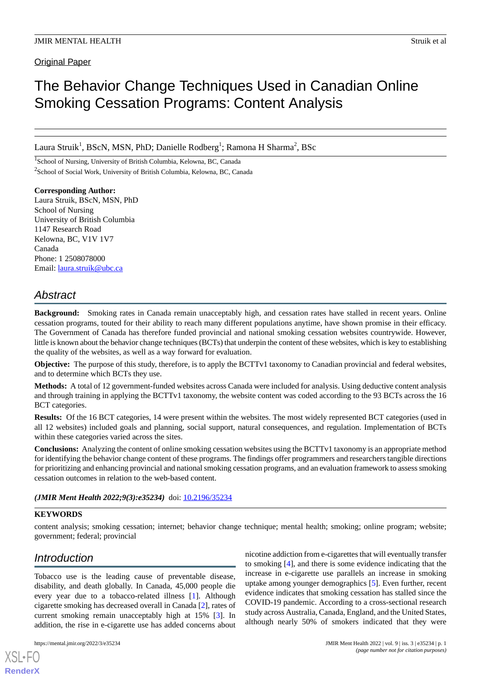Original Paper

# The Behavior Change Techniques Used in Canadian Online Smoking Cessation Programs: Content Analysis

Laura Struik<sup>1</sup>, BScN, MSN, PhD; Danielle Rodberg<sup>1</sup>; Ramona H Sharma<sup>2</sup>, BSc

<sup>1</sup>School of Nursing, University of British Columbia, Kelowna, BC, Canada <sup>2</sup>School of Social Work, University of British Columbia, Kelowna, BC, Canada

**Corresponding Author:** Laura Struik, BScN, MSN, PhD School of Nursing University of British Columbia 1147 Research Road Kelowna, BC, V1V 1V7 Canada Phone: 1 2508078000 Email: [laura.struik@ubc.ca](mailto:laura.struik@ubc.ca)

## *Abstract*

**Background:** Smoking rates in Canada remain unacceptably high, and cessation rates have stalled in recent years. Online cessation programs, touted for their ability to reach many different populations anytime, have shown promise in their efficacy. The Government of Canada has therefore funded provincial and national smoking cessation websites countrywide. However, little is known about the behavior change techniques (BCTs) that underpin the content of these websites, which is key to establishing the quality of the websites, as well as a way forward for evaluation.

**Objective:** The purpose of this study, therefore, is to apply the BCTTv1 taxonomy to Canadian provincial and federal websites, and to determine which BCTs they use.

**Methods:** A total of 12 government-funded websites across Canada were included for analysis. Using deductive content analysis and through training in applying the BCTTv1 taxonomy, the website content was coded according to the 93 BCTs across the 16 BCT categories.

**Results:** Of the 16 BCT categories, 14 were present within the websites. The most widely represented BCT categories (used in all 12 websites) included goals and planning, social support, natural consequences, and regulation. Implementation of BCTs within these categories varied across the sites.

**Conclusions:** Analyzing the content of online smoking cessation websites using the BCTTv1 taxonomy is an appropriate method for identifying the behavior change content of these programs. The findings offer programmers and researchers tangible directions for prioritizing and enhancing provincial and national smoking cessation programs, and an evaluation framework to assess smoking cessation outcomes in relation to the web-based content.

(JMIR Ment Health 2022;9(3):e35234) doi: [10.2196/35234](http://dx.doi.org/10.2196/35234)

#### **KEYWORDS**

content analysis; smoking cessation; internet; behavior change technique; mental health; smoking; online program; website; government; federal; provincial

## *Introduction*

Tobacco use is the leading cause of preventable disease, disability, and death globally. In Canada, 45,000 people die every year due to a tobacco-related illness [[1](#page-10-0)]. Although cigarette smoking has decreased overall in Canada [[2\]](#page-10-1), rates of current smoking remain unacceptably high at 15% [[3](#page-10-2)]. In addition, the rise in e-cigarette use has added concerns about

[XSL](http://www.w3.org/Style/XSL)•FO **[RenderX](http://www.renderx.com/)**

nicotine addiction from e-cigarettes that will eventually transfer to smoking [[4\]](#page-10-3), and there is some evidence indicating that the increase in e-cigarette use parallels an increase in smoking uptake among younger demographics [[5\]](#page-10-4). Even further, recent evidence indicates that smoking cessation has stalled since the COVID-19 pandemic. According to a cross-sectional research study across Australia, Canada, England, and the United States, although nearly 50% of smokers indicated that they were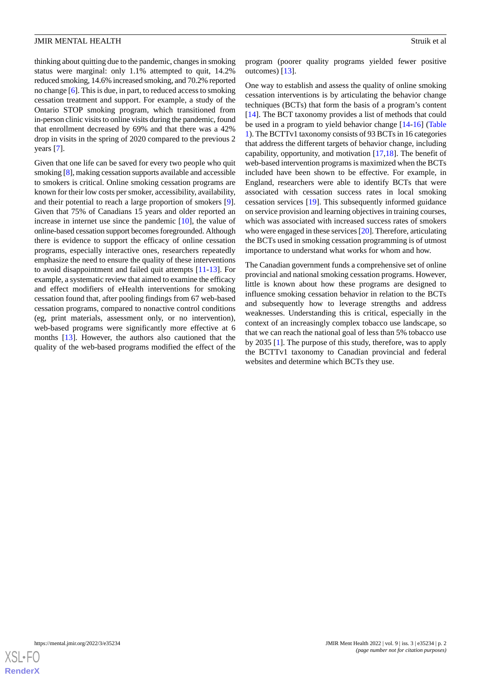thinking about quitting due to the pandemic, changes in smoking status were marginal: only 1.1% attempted to quit, 14.2% reduced smoking, 14.6% increased smoking, and 70.2% reported no change [[6\]](#page-10-5). This is due, in part, to reduced access to smoking cessation treatment and support. For example, a study of the Ontario STOP smoking program, which transitioned from in-person clinic visits to online visits during the pandemic, found that enrollment decreased by 69% and that there was a 42% drop in visits in the spring of 2020 compared to the previous 2 years [\[7](#page-10-6)].

Given that one life can be saved for every two people who quit smoking [[8](#page-10-7)], making cessation supports available and accessible to smokers is critical. Online smoking cessation programs are known for their low costs per smoker, accessibility, availability, and their potential to reach a large proportion of smokers [[9\]](#page-10-8). Given that 75% of Canadians 15 years and older reported an increase in internet use since the pandemic [\[10](#page-10-9)], the value of online-based cessation support becomes foregrounded. Although there is evidence to support the efficacy of online cessation programs, especially interactive ones, researchers repeatedly emphasize the need to ensure the quality of these interventions to avoid disappointment and failed quit attempts [[11-](#page-10-10)[13\]](#page-10-11). For example, a systematic review that aimed to examine the efficacy and effect modifiers of eHealth interventions for smoking cessation found that, after pooling findings from 67 web-based cessation programs, compared to nonactive control conditions (eg, print materials, assessment only, or no intervention), web-based programs were significantly more effective at 6 months [\[13](#page-10-11)]. However, the authors also cautioned that the quality of the web-based programs modified the effect of the program (poorer quality programs yielded fewer positive outcomes) [\[13](#page-10-11)].

One way to establish and assess the quality of online smoking cessation interventions is by articulating the behavior change techniques (BCTs) that form the basis of a program's content [[14\]](#page-10-12). The BCT taxonomy provides a list of methods that could be used in a program to yield behavior change [[14](#page-10-12)[-16](#page-10-13)] ([Table](#page-2-0) [1\)](#page-2-0). The BCTTv1 taxonomy consists of 93 BCTs in 16 categories that address the different targets of behavior change, including capability, opportunity, and motivation [[17](#page-10-14)[,18](#page-10-15)]. The benefit of web-based intervention programs is maximized when the BCTs included have been shown to be effective. For example, in England, researchers were able to identify BCTs that were associated with cessation success rates in local smoking cessation services [[19\]](#page-10-16). This subsequently informed guidance on service provision and learning objectives in training courses, which was associated with increased success rates of smokers who were engaged in these services [\[20](#page-10-17)]. Therefore, articulating the BCTs used in smoking cessation programming is of utmost importance to understand what works for whom and how.

The Canadian government funds a comprehensive set of online provincial and national smoking cessation programs. However, little is known about how these programs are designed to influence smoking cessation behavior in relation to the BCTs and subsequently how to leverage strengths and address weaknesses. Understanding this is critical, especially in the context of an increasingly complex tobacco use landscape, so that we can reach the national goal of less than 5% tobacco use by 2035 [[1\]](#page-10-0). The purpose of this study, therefore, was to apply the BCTTv1 taxonomy to Canadian provincial and federal websites and determine which BCTs they use.

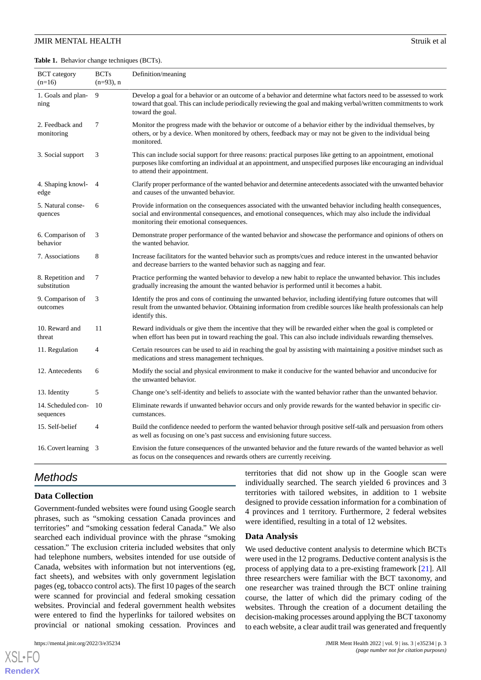<span id="page-2-0"></span>**Table 1.** Behavior change techniques (BCTs).

| <b>BCT</b> category<br>$(n=16)$   | <b>BCTs</b><br>$(n=93)$ , n | Definition/meaning                                                                                                                                                                                                                                                   |
|-----------------------------------|-----------------------------|----------------------------------------------------------------------------------------------------------------------------------------------------------------------------------------------------------------------------------------------------------------------|
| 1. Goals and plan-<br>ning        | 9                           | Develop a goal for a behavior or an outcome of a behavior and determine what factors need to be assessed to work<br>toward that goal. This can include periodically reviewing the goal and making verbal/written commitments to work<br>toward the goal.             |
| 2. Feedback and<br>monitoring     | 7                           | Monitor the progress made with the behavior or outcome of a behavior either by the individual themselves, by<br>others, or by a device. When monitored by others, feedback may or may not be given to the individual being<br>monitored.                             |
| 3. Social support                 | 3                           | This can include social support for three reasons: practical purposes like getting to an appointment, emotional<br>purposes like comforting an individual at an appointment, and unspecified purposes like encouraging an individual<br>to attend their appointment. |
| 4. Shaping knowl-<br>edge         | $\overline{4}$              | Clarify proper performance of the wanted behavior and determine antecedents associated with the unwanted behavior<br>and causes of the unwanted behavior.                                                                                                            |
| 5. Natural conse-<br>quences      | 6                           | Provide information on the consequences associated with the unwanted behavior including health consequences,<br>social and environmental consequences, and emotional consequences, which may also include the individual<br>monitoring their emotional consequences. |
| 6. Comparison of<br>behavior      | 3                           | Demonstrate proper performance of the wanted behavior and showcase the performance and opinions of others on<br>the wanted behavior.                                                                                                                                 |
| 7. Associations                   | 8                           | Increase facilitators for the wanted behavior such as prompts/cues and reduce interest in the unwanted behavior<br>and decrease barriers to the wanted behavior such as nagging and fear.                                                                            |
| 8. Repetition and<br>substitution | 7                           | Practice performing the wanted behavior to develop a new habit to replace the unwanted behavior. This includes<br>gradually increasing the amount the wanted behavior is performed until it becomes a habit.                                                         |
| 9. Comparison of<br>outcomes      | 3                           | Identify the pros and cons of continuing the unwanted behavior, including identifying future outcomes that will<br>result from the unwanted behavior. Obtaining information from credible sources like health professionals can help<br>identify this.               |
| 10. Reward and<br>threat          | 11                          | Reward individuals or give them the incentive that they will be rewarded either when the goal is completed or<br>when effort has been put in toward reaching the goal. This can also include individuals rewarding themselves.                                       |
| 11. Regulation                    | $\overline{4}$              | Certain resources can be used to aid in reaching the goal by assisting with maintaining a positive mindset such as<br>medications and stress management techniques.                                                                                                  |
| 12. Antecedents                   | 6                           | Modify the social and physical environment to make it conducive for the wanted behavior and unconducive for<br>the unwanted behavior.                                                                                                                                |
| 13. Identity                      | 5                           | Change one's self-identity and beliefs to associate with the wanted behavior rather than the unwanted behavior.                                                                                                                                                      |
| 14. Scheduled con-<br>sequences   | 10                          | Eliminate rewards if unwanted behavior occurs and only provide rewards for the wanted behavior in specific cir-<br>cumstances.                                                                                                                                       |
| 15. Self-belief                   | $\overline{4}$              | Build the confidence needed to perform the wanted behavior through positive self-talk and persuasion from others<br>as well as focusing on one's past success and envisioning future success.                                                                        |
| 16. Covert learning 3             |                             | Envision the future consequences of the unwanted behavior and the future rewards of the wanted behavior as well<br>as focus on the consequences and rewards others are currently receiving.                                                                          |

## *Methods*

#### **Data Collection**

Government-funded websites were found using Google search phrases, such as "smoking cessation Canada provinces and territories" and "smoking cessation federal Canada." We also searched each individual province with the phrase "smoking cessation." The exclusion criteria included websites that only had telephone numbers, websites intended for use outside of Canada, websites with information but not interventions (eg, fact sheets), and websites with only government legislation pages (eg, tobacco control acts). The first 10 pages of the search were scanned for provincial and federal smoking cessation websites. Provincial and federal government health websites were entered to find the hyperlinks for tailored websites on provincial or national smoking cessation. Provinces and

 $X$ SL•FO **[RenderX](http://www.renderx.com/)** territories that did not show up in the Google scan were individually searched. The search yielded 6 provinces and 3 territories with tailored websites, in addition to 1 website designed to provide cessation information for a combination of 4 provinces and 1 territory. Furthermore, 2 federal websites were identified, resulting in a total of 12 websites.

#### **Data Analysis**

We used deductive content analysis to determine which BCTs were used in the 12 programs. Deductive content analysis is the process of applying data to a pre-existing framework [[21\]](#page-10-18). All three researchers were familiar with the BCT taxonomy, and one researcher was trained through the BCT online training course, the latter of which did the primary coding of the websites. Through the creation of a document detailing the decision-making processes around applying the BCT taxonomy to each website, a clear audit trail was generated and frequently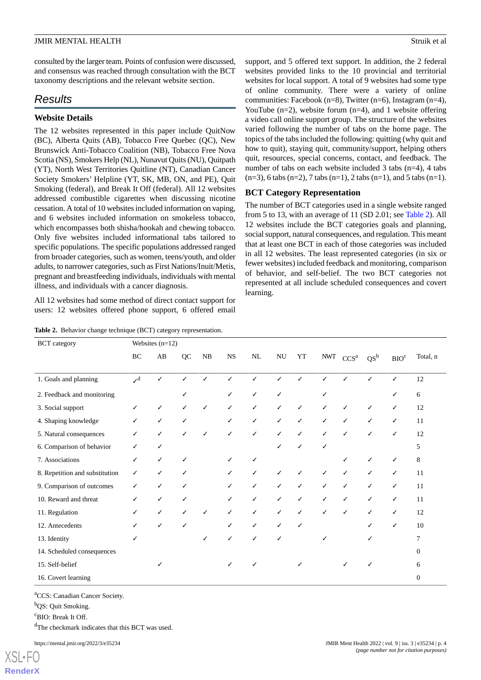consulted by the larger team. Points of confusion were discussed, and consensus was reached through consultation with the BCT taxonomy descriptions and the relevant website section.

## *Results*

#### **Website Details**

The 12 websites represented in this paper include QuitNow (BC), Alberta Quits (AB), Tobacco Free Quebec (QC), New Brunswick Anti-Tobacco Coalition (NB), Tobacco Free Nova Scotia (NS), Smokers Help (NL), Nunavut Quits (NU), Quitpath (YT), North West Territories Quitline (NT), Canadian Cancer Society Smokers' Helpline (YT, SK, MB, ON, and PE), Quit Smoking (federal), and Break It Off (federal). All 12 websites addressed combustible cigarettes when discussing nicotine cessation. A total of 10 websites included information on vaping, and 6 websites included information on smokeless tobacco, which encompasses both shisha/hookah and chewing tobacco. Only five websites included informational tabs tailored to specific populations. The specific populations addressed ranged from broader categories, such as women, teens/youth, and older adults, to narrower categories, such as First Nations/Inuit/Metis, pregnant and breastfeeding individuals, individuals with mental illness, and individuals with a cancer diagnosis.

<span id="page-3-0"></span>All 12 websites had some method of direct contact support for users: 12 websites offered phone support, 6 offered email

**Table 2.** Behavior change technique (BCT) category representation.

support, and 5 offered text support. In addition, the 2 federal websites provided links to the 10 provincial and territorial websites for local support. A total of 9 websites had some type of online community. There were a variety of online communities: Facebook (n=8), Twitter (n=6), Instagram (n=4), YouTube  $(n=2)$ , website forum  $(n=4)$ , and 1 website offering a video call online support group. The structure of the websites varied following the number of tabs on the home page. The topics of the tabs included the following: quitting (why quit and how to quit), staying quit, community/support, helping others quit, resources, special concerns, contact, and feedback. The number of tabs on each website included 3 tabs (n=4), 4 tabs  $(n=3)$ , 6 tabs  $(n=2)$ , 7 tabs  $(n=1)$ , 2 tabs  $(n=1)$ , and 5 tabs  $(n=1)$ .

#### **BCT Category Representation**

The number of BCT categories used in a single website ranged from 5 to 13, with an average of 11 (SD 2.01; see [Table 2\)](#page-3-0). All 12 websites include the BCT categories goals and planning, social support, natural consequences, and regulation. This meant that at least one BCT in each of those categories was included in all 12 websites. The least represented categories (in six or fewer websites) included feedback and monitoring, comparison of behavior, and self-belief. The two BCT categories not represented at all include scheduled consequences and covert learning.

| <b>BCT</b> category            | Websites $(n=12)$        |                        |    |    |             |          |           |            |     |                  |        |                  |                  |
|--------------------------------|--------------------------|------------------------|----|----|-------------|----------|-----------|------------|-----|------------------|--------|------------------|------------------|
|                                | $\rm BC$                 | $\mathbf{A}\mathbf{B}$ | QC | NB | $_{\rm NS}$ | $\rm NL$ | <b>NU</b> | ${\it YT}$ | NWT | CCS <sup>a</sup> | $QS^b$ | BIO <sup>c</sup> | Total, n         |
| 1. Goals and planning          | $\mathcal{I}^{\text{d}}$ | $\checkmark$           |    |    | ✓           | J        | ✓         |            |     |                  | ℐ      | ✓                | 12               |
| 2. Feedback and monitoring     |                          |                        |    |    |             | ✓        | ✓         |            | ✓   |                  |        |                  | 6                |
| 3. Social support              | ✓                        | ✓                      | ✓  | ✓  | ✓           | ✓        | ✓         | ✓          | ✓   | ✓                | ✓      | ✓                | 12               |
| 4. Shaping knowledge           | ✓                        | ✓                      | ✓  |    | ✓           | ✓        | ✓         | ✓          | ✓   | ✓                | ✓      | ✓                | 11               |
| 5. Natural consequences        | ✓                        | ✓                      | ✓  | √  | ✓           | ✓        | ✓         | ✓          | ✓   | ✓                | ✓      | ✓                | 12               |
| 6. Comparison of behavior      | ✓                        | ✓                      |    |    |             |          | ✓         |            | ✓   |                  |        |                  | 5                |
| 7. Associations                | ✓                        | ✓                      | ✓  |    |             |          |           |            |     | ✓                | ✓      | ✓                | 8                |
| 8. Repetition and substitution | ✓                        | ✓                      | ✓  |    |             | ✓        | ✓         |            | ✓   | ✓                | ✓      | ✓                | 11               |
| 9. Comparison of outcomes      | ✓                        | ✓                      | ✓  |    |             | ✓        | ✓         | ✓          | ✓   | ✓                | ✓      | ✓                | 11               |
| 10. Reward and threat          | ✓                        | ✓                      | ✓  |    |             | ✓        | ✓         | ✓          | ✓   | ✓                | ✓      | ✓                | 11               |
| 11. Regulation                 | ✓                        | ✓                      | ✓  |    | ✓           | ✓        | ✓         |            | ✓   | ✓                | ✓      | ✓                | 12               |
| 12. Antecedents                | ✓                        | ✓                      |    |    | ✓           | ✓        | ✓         |            |     |                  | ✓      | ✓                | 10               |
| 13. Identity                   |                          |                        |    |    |             |          | ✓         |            | ✓   |                  | ✓      |                  | 7                |
| 14. Scheduled consequences     |                          |                        |    |    |             |          |           |            |     |                  |        |                  | $\overline{0}$   |
| 15. Self-belief                |                          | √                      |    |    |             |          |           |            |     | ✓                | ✓      |                  | 6                |
| 16. Covert learning            |                          |                        |    |    |             |          |           |            |     |                  |        |                  | $\boldsymbol{0}$ |

<sup>a</sup>CCS: Canadian Cancer Society.

<sup>b</sup>OS: Quit Smoking.

<sup>c</sup>BIO: Break It Off.

<sup>d</sup>The checkmark indicates that this BCT was used.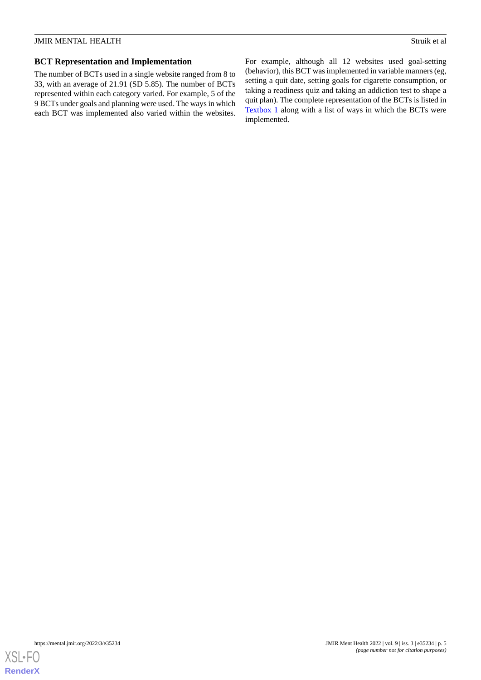#### **BCT Representation and Implementation**

The number of BCTs used in a single website ranged from 8 to 33, with an average of 21.91 (SD 5.85). The number of BCTs represented within each category varied. For example, 5 of the 9 BCTs under goals and planning were used. The ways in which each BCT was implemented also varied within the websites.

For example, although all 12 websites used goal-setting (behavior), this BCT was implemented in variable manners (eg, setting a quit date, setting goals for cigarette consumption, or taking a readiness quiz and taking an addiction test to shape a quit plan). The complete representation of the BCTs is listed in [Textbox 1](#page-5-0) along with a list of ways in which the BCTs were implemented.

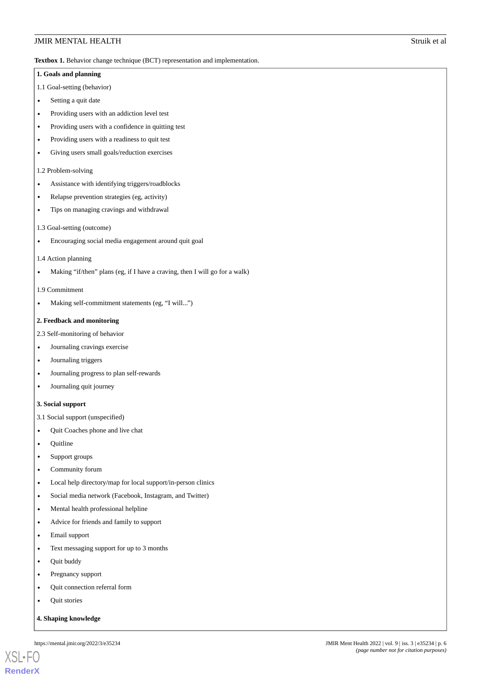<span id="page-5-0"></span>Textbox 1. Behavior change technique (BCT) representation and implementation.

## **1. Goals and planning** 1.1 Goal-setting (behavior) • Setting a quit date • Providing users with an addiction level test • Providing users with a confidence in quitting test • Providing users with a readiness to quit test • Giving users small goals/reduction exercises 1.2 Problem-solving • Assistance with identifying triggers/roadblocks • Relapse prevention strategies (eg, activity) • Tips on managing cravings and withdrawal 1.3 Goal-setting (outcome) • Encouraging social media engagement around quit goal 1.4 Action planning • Making "if/then" plans (eg, if I have a craving, then I will go for a walk) 1.9 Commitment • Making self-commitment statements (eg, "I will...") **2. Feedback and monitoring** 2.3 Self-monitoring of behavior • Journaling cravings exercise • Journaling triggers • Journaling progress to plan self-rewards • Journaling quit journey **3. Social support** 3.1 Social support (unspecified) • Quit Coaches phone and live chat • Quitline • Support groups • Community forum • Local help directory/map for local support/in-person clinics • Social media network (Facebook, Instagram, and Twitter) • Mental health professional helpline • Advice for friends and family to support • Email support • Text messaging support for up to 3 months • Quit buddy Pregnancy support • Quit connection referral form **Ouit stories JMIR MENTAL HEALTH** Struik et al.

**4. Shaping knowledge**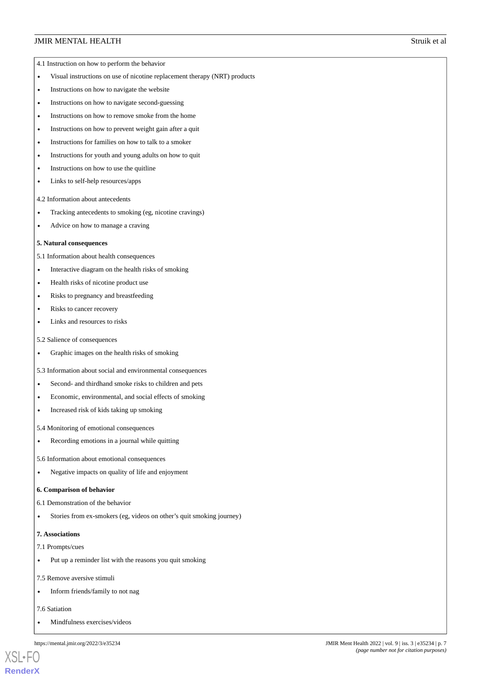- 4.1 Instruction on how to perform the behavior
- Visual instructions on use of nicotine replacement therapy (NRT) products
- Instructions on how to navigate the website
- Instructions on how to navigate second-guessing
- Instructions on how to remove smoke from the home
- Instructions on how to prevent weight gain after a quit
- Instructions for families on how to talk to a smoker
- Instructions for youth and young adults on how to quit
- Instructions on how to use the quitline
- Links to self-help resources/apps
- 4.2 Information about antecedents
- Tracking antecedents to smoking (eg, nicotine cravings)
- Advice on how to manage a craving

#### **5. Natural consequences**

5.1 Information about health consequences

- Interactive diagram on the health risks of smoking
- Health risks of nicotine product use
- Risks to pregnancy and breastfeeding
- Risks to cancer recovery
- Links and resources to risks

#### 5.2 Salience of consequences

- Graphic images on the health risks of smoking
- 5.3 Information about social and environmental consequences
- Second- and thirdhand smoke risks to children and pets
- Economic, environmental, and social effects of smoking
- Increased risk of kids taking up smoking

5.4 Monitoring of emotional consequences

- Recording emotions in a journal while quitting
- 5.6 Information about emotional consequences
- Negative impacts on quality of life and enjoyment

#### **6. Comparison of behavior**

- 6.1 Demonstration of the behavior
- Stories from ex-smokers (eg, videos on other's quit smoking journey)

#### **7. Associations**

- 7.1 Prompts/cues
- Put up a reminder list with the reasons you quit smoking
- 7.5 Remove aversive stimuli
- Inform friends/family to not nag
- 7.6 Satiation

[XSL](http://www.w3.org/Style/XSL)•FO **[RenderX](http://www.renderx.com/)**

• Mindfulness exercises/videos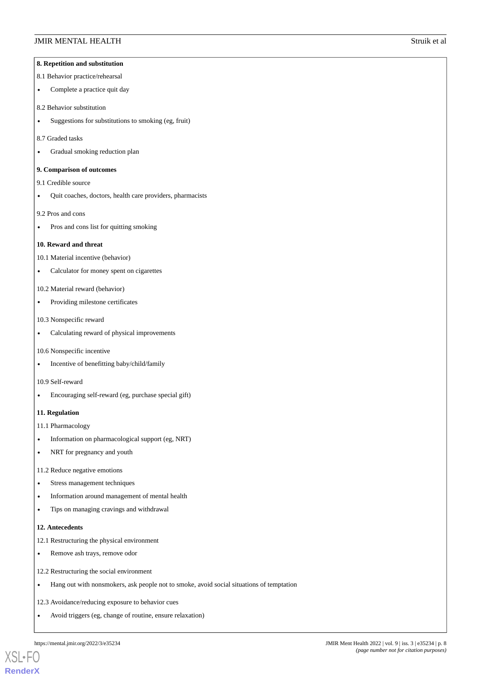#### **8. Repetition and substitution**

#### 8.1 Behavior practice/rehearsal

- Complete a practice quit day
- 8.2 Behavior substitution
- Suggestions for substitutions to smoking (eg, fruit)

#### 8.7 Graded tasks

• Gradual smoking reduction plan

#### **9. Comparison of outcomes**

9.1 Credible source

• Quit coaches, doctors, health care providers, pharmacists

#### 9.2 Pros and cons

• Pros and cons list for quitting smoking

#### **10. Reward and threat**

10.1 Material incentive (behavior)

- Calculator for money spent on cigarettes
- 10.2 Material reward (behavior)
- Providing milestone certificates

#### 10.3 Nonspecific reward

• Calculating reward of physical improvements

#### 10.6 Nonspecific incentive

• Incentive of benefitting baby/child/family

#### 10.9 Self-reward

• Encouraging self-reward (eg, purchase special gift)

#### **11. Regulation**

11.1 Pharmacology

- Information on pharmacological support (eg, NRT)
- NRT for pregnancy and youth
- 11.2 Reduce negative emotions
- Stress management techniques
- Information around management of mental health
- Tips on managing cravings and withdrawal

#### **12. Antecedents**

12.1 Restructuring the physical environment

- Remove ash trays, remove odor
- 12.2 Restructuring the social environment
- Hang out with nonsmokers, ask people not to smoke, avoid social situations of temptation
- 12.3 Avoidance/reducing exposure to behavior cues
- Avoid triggers (eg, change of routine, ensure relaxation)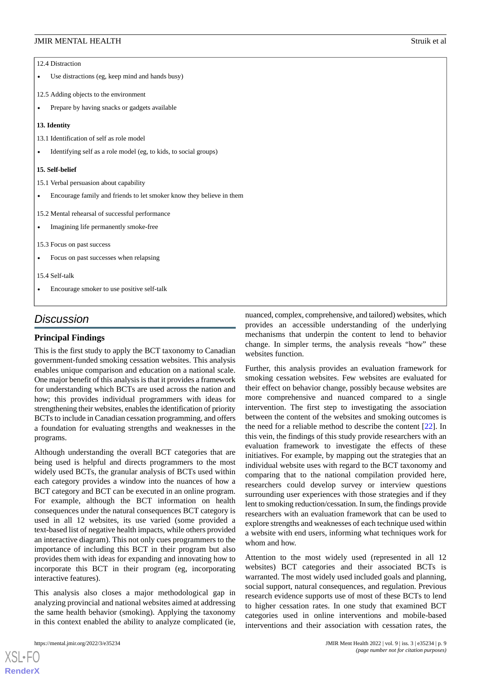#### 12.4 Distraction

- Use distractions (eg, keep mind and hands busy)
- 12.5 Adding objects to the environment
- Prepare by having snacks or gadgets available

#### **13. Identity**

- 13.1 Identification of self as role model
- Identifying self as a role model (eg, to kids, to social groups)

#### **15. Self-belief**

- 15.1 Verbal persuasion about capability
- Encourage family and friends to let smoker know they believe in them

15.2 Mental rehearsal of successful performance

• Imagining life permanently smoke-free

15.3 Focus on past success

- Focus on past successes when relapsing
- 15.4 Self-talk
- Encourage smoker to use positive self-talk

### *Discussion*

#### **Principal Findings**

This is the first study to apply the BCT taxonomy to Canadian government-funded smoking cessation websites. This analysis enables unique comparison and education on a national scale. One major benefit of this analysis is that it provides a framework for understanding which BCTs are used across the nation and how; this provides individual programmers with ideas for strengthening their websites, enables the identification of priority BCTs to include in Canadian cessation programming, and offers a foundation for evaluating strengths and weaknesses in the programs.

Although understanding the overall BCT categories that are being used is helpful and directs programmers to the most widely used BCTs, the granular analysis of BCTs used within each category provides a window into the nuances of how a BCT category and BCT can be executed in an online program. For example, although the BCT information on health consequences under the natural consequences BCT category is used in all 12 websites, its use varied (some provided a text-based list of negative health impacts, while others provided an interactive diagram). This not only cues programmers to the importance of including this BCT in their program but also provides them with ideas for expanding and innovating how to incorporate this BCT in their program (eg, incorporating interactive features).

This analysis also closes a major methodological gap in analyzing provincial and national websites aimed at addressing the same health behavior (smoking). Applying the taxonomy in this context enabled the ability to analyze complicated (ie,

nuanced, complex, comprehensive, and tailored) websites, which provides an accessible understanding of the underlying mechanisms that underpin the content to lend to behavior change. In simpler terms, the analysis reveals "how" these websites function.

Further, this analysis provides an evaluation framework for smoking cessation websites. Few websites are evaluated for their effect on behavior change, possibly because websites are more comprehensive and nuanced compared to a single intervention. The first step to investigating the association between the content of the websites and smoking outcomes is the need for a reliable method to describe the content [[22\]](#page-10-19). In this vein, the findings of this study provide researchers with an evaluation framework to investigate the effects of these initiatives. For example, by mapping out the strategies that an individual website uses with regard to the BCT taxonomy and comparing that to the national compilation provided here, researchers could develop survey or interview questions surrounding user experiences with those strategies and if they lent to smoking reduction/cessation. In sum, the findings provide researchers with an evaluation framework that can be used to explore strengths and weaknesses of each technique used within a website with end users, informing what techniques work for whom and how.

Attention to the most widely used (represented in all 12 websites) BCT categories and their associated BCTs is warranted. The most widely used included goals and planning, social support, natural consequences, and regulation. Previous research evidence supports use of most of these BCTs to lend to higher cessation rates. In one study that examined BCT categories used in online interventions and mobile-based interventions and their association with cessation rates, the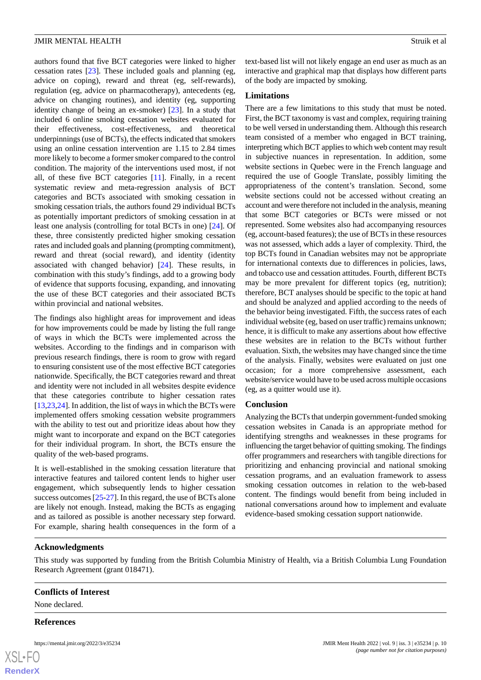authors found that five BCT categories were linked to higher cessation rates [[23\]](#page-10-20). These included goals and planning (eg, advice on coping), reward and threat (eg, self-rewards), regulation (eg, advice on pharmacotherapy), antecedents (eg, advice on changing routines), and identity (eg, supporting identity change of being an ex-smoker) [[23\]](#page-10-20). In a study that included 6 online smoking cessation websites evaluated for their effectiveness, cost-effectiveness, and theoretical underpinnings (use of BCTs), the effects indicated that smokers using an online cessation intervention are 1.15 to 2.84 times more likely to become a former smoker compared to the control condition. The majority of the interventions used most, if not all, of these five BCT categories [\[11](#page-10-10)]. Finally, in a recent systematic review and meta-regression analysis of BCT categories and BCTs associated with smoking cessation in smoking cessation trials, the authors found 29 individual BCTs as potentially important predictors of smoking cessation in at least one analysis (controlling for total BCTs in one) [\[24](#page-11-0)]. Of these, three consistently predicted higher smoking cessation rates and included goals and planning (prompting commitment), reward and threat (social reward), and identity (identity associated with changed behavior) [[24\]](#page-11-0). These results, in combination with this study's findings, add to a growing body of evidence that supports focusing, expanding, and innovating the use of these BCT categories and their associated BCTs within provincial and national websites.

The findings also highlight areas for improvement and ideas for how improvements could be made by listing the full range of ways in which the BCTs were implemented across the websites. According to the findings and in comparison with previous research findings, there is room to grow with regard to ensuring consistent use of the most effective BCT categories nationwide. Specifically, the BCT categories reward and threat and identity were not included in all websites despite evidence that these categories contribute to higher cessation rates [[13](#page-10-11)[,23](#page-10-20),[24\]](#page-11-0). In addition, the list of ways in which the BCTs were implemented offers smoking cessation website programmers with the ability to test out and prioritize ideas about how they might want to incorporate and expand on the BCT categories for their individual program. In short, the BCTs ensure the quality of the web-based programs.

It is well-established in the smoking cessation literature that interactive features and tailored content lends to higher user engagement, which subsequently lends to higher cessation success outcomes [[25](#page-11-1)[-27](#page-11-2)]. In this regard, the use of BCTs alone are likely not enough. Instead, making the BCTs as engaging and as tailored as possible is another necessary step forward. For example, sharing health consequences in the form of a

text-based list will not likely engage an end user as much as an interactive and graphical map that displays how different parts of the body are impacted by smoking.

#### **Limitations**

There are a few limitations to this study that must be noted. First, the BCT taxonomy is vast and complex, requiring training to be well versed in understanding them. Although this research team consisted of a member who engaged in BCT training, interpreting which BCT applies to which web content may result in subjective nuances in representation. In addition, some website sections in Quebec were in the French language and required the use of Google Translate, possibly limiting the appropriateness of the content's translation. Second, some website sections could not be accessed without creating an account and were therefore not included in the analysis, meaning that some BCT categories or BCTs were missed or not represented. Some websites also had accompanying resources (eg, account-based features); the use of BCTs in these resources was not assessed, which adds a layer of complexity. Third, the top BCTs found in Canadian websites may not be appropriate for international contexts due to differences in policies, laws, and tobacco use and cessation attitudes. Fourth, different BCTs may be more prevalent for different topics (eg, nutrition); therefore, BCT analyses should be specific to the topic at hand and should be analyzed and applied according to the needs of the behavior being investigated. Fifth, the success rates of each individual website (eg, based on user traffic) remains unknown; hence, it is difficult to make any assertions about how effective these websites are in relation to the BCTs without further evaluation. Sixth, the websites may have changed since the time of the analysis. Finally, websites were evaluated on just one occasion; for a more comprehensive assessment, each website/service would have to be used across multiple occasions (eg, as a quitter would use it).

#### **Conclusion**

Analyzing the BCTs that underpin government-funded smoking cessation websites in Canada is an appropriate method for identifying strengths and weaknesses in these programs for influencing the target behavior of quitting smoking. The findings offer programmers and researchers with tangible directions for prioritizing and enhancing provincial and national smoking cessation programs, and an evaluation framework to assess smoking cessation outcomes in relation to the web-based content. The findings would benefit from being included in national conversations around how to implement and evaluate evidence-based smoking cessation support nationwide.

#### **Acknowledgments**

This study was supported by funding from the British Columbia Ministry of Health, via a British Columbia Lung Foundation Research Agreement (grant 018471).

#### **Conflicts of Interest**

None declared.

#### **References**

|                 | ниру |
|-----------------|------|
|                 |      |
| <b>Render</b> X |      |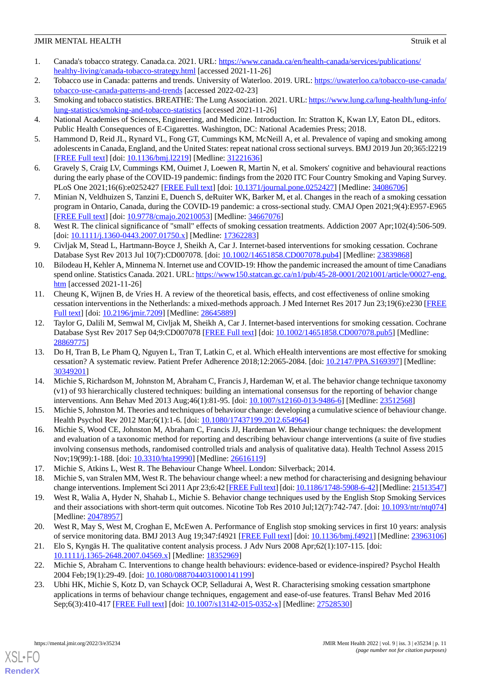- <span id="page-10-0"></span>1. Canada's tobacco strategy. Canada.ca. 2021. URL: [https://www.canada.ca/en/health-canada/services/publications/](https://www.canada.ca/en/health-canada/services/publications/healthy-living/canada-tobacco-strategy.html) [healthy-living/canada-tobacco-strategy.html](https://www.canada.ca/en/health-canada/services/publications/healthy-living/canada-tobacco-strategy.html) [accessed 2021-11-26]
- <span id="page-10-2"></span><span id="page-10-1"></span>2. Tobacco use in Canada: patterns and trends. University of Waterloo. 2019. URL: [https://uwaterloo.ca/tobacco-use-canada/](https://uwaterloo.ca/tobacco-use-canada/tobacco-use-canada-patterns-and-trends) [tobacco-use-canada-patterns-and-trends](https://uwaterloo.ca/tobacco-use-canada/tobacco-use-canada-patterns-and-trends) [accessed 2022-02-23]
- <span id="page-10-3"></span>3. Smoking and tobacco statistics. BREATHE: The Lung Association. 2021. URL: [https://www.lung.ca/lung-health/lung-info/](https://www.lung.ca/lung-health/lung-info/lung-statistics/smoking-and-tobacco-statistics) [lung-statistics/smoking-and-tobacco-statistics](https://www.lung.ca/lung-health/lung-info/lung-statistics/smoking-and-tobacco-statistics) [accessed 2021-11-26]
- <span id="page-10-4"></span>4. National Academies of Sciences, Engineering, and Medicine. Introduction. In: Stratton K, Kwan LY, Eaton DL, editors. Public Health Consequences of E-Cigarettes. Washington, DC: National Academies Press; 2018.
- <span id="page-10-5"></span>5. Hammond D, Reid JL, Rynard VL, Fong GT, Cummings KM, McNeill A, et al. Prevalence of vaping and smoking among adolescents in Canada, England, and the United States: repeat national cross sectional surveys. BMJ 2019 Jun 20;365:l2219 [[FREE Full text](http://www.bmj.com/lookup/pmidlookup?view=long&pmid=31221636)] [doi: [10.1136/bmj.l2219\]](http://dx.doi.org/10.1136/bmj.l2219) [Medline: [31221636](http://www.ncbi.nlm.nih.gov/entrez/query.fcgi?cmd=Retrieve&db=PubMed&list_uids=31221636&dopt=Abstract)]
- <span id="page-10-6"></span>6. Gravely S, Craig LV, Cummings KM, Ouimet J, Loewen R, Martin N, et al. Smokers' cognitive and behavioural reactions during the early phase of the COVID-19 pandemic: findings from the 2020 ITC Four Country Smoking and Vaping Survey. PLoS One 2021;16(6):e0252427 [[FREE Full text](https://dx.plos.org/10.1371/journal.pone.0252427)] [doi: [10.1371/journal.pone.0252427\]](http://dx.doi.org/10.1371/journal.pone.0252427) [Medline: [34086706](http://www.ncbi.nlm.nih.gov/entrez/query.fcgi?cmd=Retrieve&db=PubMed&list_uids=34086706&dopt=Abstract)]
- <span id="page-10-7"></span>7. Minian N, Veldhuizen S, Tanzini E, Duench S, deRuiter WK, Barker M, et al. Changes in the reach of a smoking cessation program in Ontario, Canada, during the COVID-19 pandemic: a cross-sectional study. CMAJ Open 2021;9(4):E957-E965 [[FREE Full text](http://cmajopen.ca/cgi/pmidlookup?view=long&pmid=34667076)] [doi: [10.9778/cmajo.20210053\]](http://dx.doi.org/10.9778/cmajo.20210053) [Medline: [34667076\]](http://www.ncbi.nlm.nih.gov/entrez/query.fcgi?cmd=Retrieve&db=PubMed&list_uids=34667076&dopt=Abstract)
- <span id="page-10-8"></span>8. West R. The clinical significance of "small" effects of smoking cessation treatments. Addiction 2007 Apr;102(4):506-509. [doi: [10.1111/j.1360-0443.2007.01750.x](http://dx.doi.org/10.1111/j.1360-0443.2007.01750.x)] [Medline: [17362283](http://www.ncbi.nlm.nih.gov/entrez/query.fcgi?cmd=Retrieve&db=PubMed&list_uids=17362283&dopt=Abstract)]
- <span id="page-10-9"></span>9. Civljak M, Stead L, Hartmann-Boyce J, Sheikh A, Car J. Internet-based interventions for smoking cessation. Cochrane Database Syst Rev 2013 Jul 10(7):CD007078. [doi: [10.1002/14651858.CD007078.pub4](http://dx.doi.org/10.1002/14651858.CD007078.pub4)] [Medline: [23839868](http://www.ncbi.nlm.nih.gov/entrez/query.fcgi?cmd=Retrieve&db=PubMed&list_uids=23839868&dopt=Abstract)]
- <span id="page-10-10"></span>10. Bilodeau H, Kehler A, Minnema N. Internet use and COVID-19: Hhow the pandemic increased the amount of time Canadians spend online. Statistics Canada. 2021. URL: [https://www150.statcan.gc.ca/n1/pub/45-28-0001/2021001/article/00027-eng.](https://www150.statcan.gc.ca/n1/pub/45-28-0001/2021001/article/00027-eng.htm) [htm](https://www150.statcan.gc.ca/n1/pub/45-28-0001/2021001/article/00027-eng.htm) [accessed 2021-11-26]
- 11. Cheung K, Wijnen B, de Vries H. A review of the theoretical basis, effects, and cost effectiveness of online smoking cessation interventions in the Netherlands: a mixed-methods approach. J Med Internet Res 2017 Jun 23;19(6):e230 [\[FREE](https://www.jmir.org/2017/6/e230/) [Full text\]](https://www.jmir.org/2017/6/e230/) [doi: [10.2196/jmir.7209](http://dx.doi.org/10.2196/jmir.7209)] [Medline: [28645889\]](http://www.ncbi.nlm.nih.gov/entrez/query.fcgi?cmd=Retrieve&db=PubMed&list_uids=28645889&dopt=Abstract)
- <span id="page-10-11"></span>12. Taylor G, Dalili M, Semwal M, Civljak M, Sheikh A, Car J. Internet-based interventions for smoking cessation. Cochrane Database Syst Rev 2017 Sep 04;9:CD007078 [\[FREE Full text](http://europepmc.org/abstract/MED/28869775)] [doi: [10.1002/14651858.CD007078.pub5\]](http://dx.doi.org/10.1002/14651858.CD007078.pub5) [Medline: [28869775](http://www.ncbi.nlm.nih.gov/entrez/query.fcgi?cmd=Retrieve&db=PubMed&list_uids=28869775&dopt=Abstract)]
- <span id="page-10-12"></span>13. Do H, Tran B, Le Pham Q, Nguyen L, Tran T, Latkin C, et al. Which eHealth interventions are most effective for smoking cessation? A systematic review. Patient Prefer Adherence 2018;12:2065-2084. [doi: [10.2147/PPA.S169397](http://dx.doi.org/10.2147/PPA.S169397)] [Medline: [30349201](http://www.ncbi.nlm.nih.gov/entrez/query.fcgi?cmd=Retrieve&db=PubMed&list_uids=30349201&dopt=Abstract)]
- <span id="page-10-13"></span>14. Michie S, Richardson M, Johnston M, Abraham C, Francis J, Hardeman W, et al. The behavior change technique taxonomy (v1) of 93 hierarchically clustered techniques: building an international consensus for the reporting of behavior change interventions. Ann Behav Med 2013 Aug;46(1):81-95. [doi: [10.1007/s12160-013-9486-6\]](http://dx.doi.org/10.1007/s12160-013-9486-6) [Medline: [23512568\]](http://www.ncbi.nlm.nih.gov/entrez/query.fcgi?cmd=Retrieve&db=PubMed&list_uids=23512568&dopt=Abstract)
- 15. Michie S, Johnston M. Theories and techniques of behaviour change: developing a cumulative science of behaviour change. Health Psychol Rev 2012 Mar;6(1):1-6. [doi: [10.1080/17437199.2012.654964\]](http://dx.doi.org/10.1080/17437199.2012.654964)
- <span id="page-10-16"></span><span id="page-10-15"></span><span id="page-10-14"></span>16. Michie S, Wood CE, Johnston M, Abraham C, Francis JJ, Hardeman W. Behaviour change techniques: the development and evaluation of a taxonomic method for reporting and describing behaviour change interventions (a suite of five studies involving consensus methods, randomised controlled trials and analysis of qualitative data). Health Technol Assess 2015 Nov;19(99):1-188. [doi: [10.3310/hta19990](http://dx.doi.org/10.3310/hta19990)] [Medline: [26616119\]](http://www.ncbi.nlm.nih.gov/entrez/query.fcgi?cmd=Retrieve&db=PubMed&list_uids=26616119&dopt=Abstract)
- 17. Michie S, Atkins L, West R. The Behaviour Change Wheel. London: Silverback; 2014.
- <span id="page-10-17"></span>18. Michie S, van Stralen MM, West R. The behaviour change wheel: a new method for characterising and designing behaviour change interventions. Implement Sci 2011 Apr 23;6:42 [\[FREE Full text](https://implementationscience.biomedcentral.com/articles/10.1186/1748-5908-6-42)] [doi: [10.1186/1748-5908-6-42\]](http://dx.doi.org/10.1186/1748-5908-6-42) [Medline: [21513547\]](http://www.ncbi.nlm.nih.gov/entrez/query.fcgi?cmd=Retrieve&db=PubMed&list_uids=21513547&dopt=Abstract)
- <span id="page-10-19"></span><span id="page-10-18"></span>19. West R, Walia A, Hyder N, Shahab L, Michie S. Behavior change techniques used by the English Stop Smoking Services and their associations with short-term quit outcomes. Nicotine Tob Res 2010 Jul;12(7):742-747. [doi: [10.1093/ntr/ntq074](http://dx.doi.org/10.1093/ntr/ntq074)] [Medline: [20478957](http://www.ncbi.nlm.nih.gov/entrez/query.fcgi?cmd=Retrieve&db=PubMed&list_uids=20478957&dopt=Abstract)]
- <span id="page-10-20"></span>20. West R, May S, West M, Croghan E, McEwen A. Performance of English stop smoking services in first 10 years: analysis of service monitoring data. BMJ 2013 Aug 19;347:f4921 [[FREE Full text\]](http://www.bmj.com/lookup/pmidlookup?view=long&pmid=23963106) [doi: [10.1136/bmj.f4921](http://dx.doi.org/10.1136/bmj.f4921)] [Medline: [23963106](http://www.ncbi.nlm.nih.gov/entrez/query.fcgi?cmd=Retrieve&db=PubMed&list_uids=23963106&dopt=Abstract)]
- 21. Elo S, Kyngäs H. The qualitative content analysis process. J Adv Nurs 2008 Apr;62(1):107-115. [doi: [10.1111/j.1365-2648.2007.04569.x\]](http://dx.doi.org/10.1111/j.1365-2648.2007.04569.x) [Medline: [18352969\]](http://www.ncbi.nlm.nih.gov/entrez/query.fcgi?cmd=Retrieve&db=PubMed&list_uids=18352969&dopt=Abstract)
- 22. Michie S, Abraham C. Interventions to change health behaviours: evidence-based or evidence-inspired? Psychol Health 2004 Feb;19(1):29-49. [doi: [10.1080/0887044031000141199](http://dx.doi.org/10.1080/0887044031000141199)]
- 23. Ubhi HK, Michie S, Kotz D, van Schayck OCP, Selladurai A, West R. Characterising smoking cessation smartphone applications in terms of behaviour change techniques, engagement and ease-of-use features. Transl Behav Med 2016 Sep;6(3):410-417 [[FREE Full text](http://europepmc.org/abstract/MED/27528530)] [doi: [10.1007/s13142-015-0352-x\]](http://dx.doi.org/10.1007/s13142-015-0352-x) [Medline: [27528530](http://www.ncbi.nlm.nih.gov/entrez/query.fcgi?cmd=Retrieve&db=PubMed&list_uids=27528530&dopt=Abstract)]